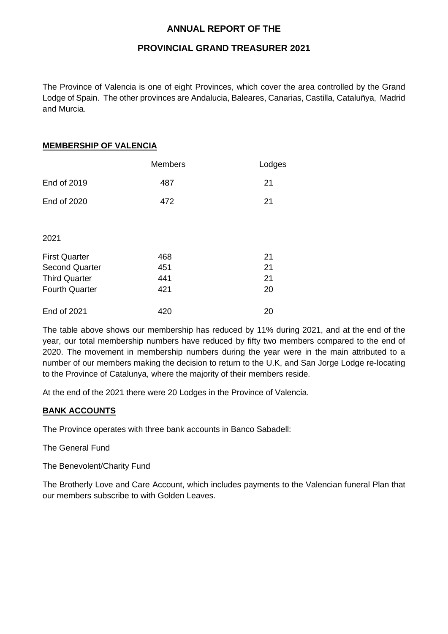### **ANNUAL REPORT OF THE**

### **PROVINCIAL GRAND TREASURER 2021**

The Province of Valencia is one of eight Provinces, which cover the area controlled by the Grand Lodge of Spain. The other provinces are Andalucia, Baleares, Canarias, Castilla, Cataluñya, Madrid and Murcia.

### **MEMBERSHIP OF VALENCIA**

|                       | <b>Members</b> | Lodges |
|-----------------------|----------------|--------|
| End of 2019           | 487            | 21     |
| End of 2020           | 472            | 21     |
|                       |                |        |
| 2021                  |                |        |
| <b>First Quarter</b>  | 468            | 21     |
| <b>Second Quarter</b> | 451            | 21     |
| <b>Third Quarter</b>  | 441            | 21     |
| <b>Fourth Quarter</b> | 421            | 20     |
| <b>End of 2021</b>    | 420            | 20     |

The table above shows our membership has reduced by 11% during 2021, and at the end of the year, our total membership numbers have reduced by fifty two members compared to the end of 2020. The movement in membership numbers during the year were in the main attributed to a number of our members making the decision to return to the U.K, and San Jorge Lodge re-locating to the Province of Catalunya, where the majority of their members reside.

At the end of the 2021 there were 20 Lodges in the Province of Valencia.

### **BANK ACCOUNTS**

The Province operates with three bank accounts in Banco Sabadell:

The General Fund

The Benevolent/Charity Fund

The Brotherly Love and Care Account, which includes payments to the Valencian funeral Plan that our members subscribe to with Golden Leaves.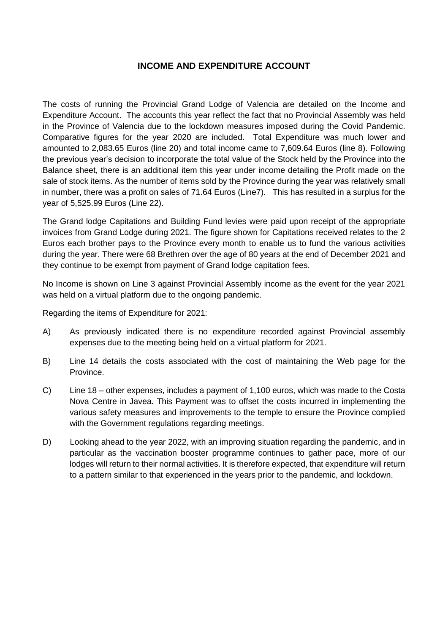### **INCOME AND EXPENDITURE ACCOUNT**

The costs of running the Provincial Grand Lodge of Valencia are detailed on the Income and Expenditure Account. The accounts this year reflect the fact that no Provincial Assembly was held in the Province of Valencia due to the lockdown measures imposed during the Covid Pandemic. Comparative figures for the year 2020 are included. Total Expenditure was much lower and amounted to 2,083.65 Euros (line 20) and total income came to 7,609.64 Euros (line 8). Following the previous year's decision to incorporate the total value of the Stock held by the Province into the Balance sheet, there is an additional item this year under income detailing the Profit made on the sale of stock items. As the number of items sold by the Province during the year was relatively small in number, there was a profit on sales of 71.64 Euros (Line7). This has resulted in a surplus for the year of 5,525.99 Euros (Line 22).

The Grand lodge Capitations and Building Fund levies were paid upon receipt of the appropriate invoices from Grand Lodge during 2021. The figure shown for Capitations received relates to the 2 Euros each brother pays to the Province every month to enable us to fund the various activities during the year. There were 68 Brethren over the age of 80 years at the end of December 2021 and they continue to be exempt from payment of Grand lodge capitation fees.

No Income is shown on Line 3 against Provincial Assembly income as the event for the year 2021 was held on a virtual platform due to the ongoing pandemic.

Regarding the items of Expenditure for 2021:

- A) As previously indicated there is no expenditure recorded against Provincial assembly expenses due to the meeting being held on a virtual platform for 2021.
- B) Line 14 details the costs associated with the cost of maintaining the Web page for the Province.
- C) Line 18 other expenses, includes a payment of 1,100 euros, which was made to the Costa Nova Centre in Javea. This Payment was to offset the costs incurred in implementing the various safety measures and improvements to the temple to ensure the Province complied with the Government regulations regarding meetings.
- D) Looking ahead to the year 2022, with an improving situation regarding the pandemic, and in particular as the vaccination booster programme continues to gather pace, more of our lodges will return to their normal activities. It is therefore expected, that expenditure will return to a pattern similar to that experienced in the years prior to the pandemic, and lockdown.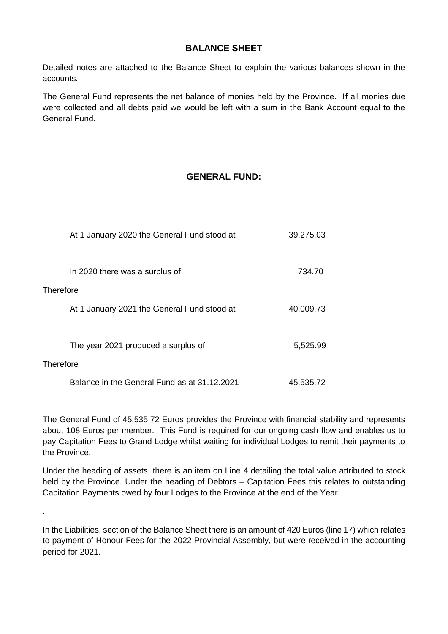## **BALANCE SHEET**

Detailed notes are attached to the Balance Sheet to explain the various balances shown in the accounts.

The General Fund represents the net balance of monies held by the Province. If all monies due were collected and all debts paid we would be left with a sum in the Bank Account equal to the General Fund.

# **GENERAL FUND:**

| At 1 January 2020 the General Fund stood at  | 39,275.03 |
|----------------------------------------------|-----------|
| In 2020 there was a surplus of               | 734.70    |
| Therefore                                    |           |
| At 1 January 2021 the General Fund stood at  | 40,009.73 |
|                                              |           |
| The year 2021 produced a surplus of          | 5,525.99  |
| Therefore                                    |           |
| Balance in the General Fund as at 31.12.2021 | 45,535.72 |

.

The General Fund of 45,535.72 Euros provides the Province with financial stability and represents about 108 Euros per member. This Fund is required for our ongoing cash flow and enables us to pay Capitation Fees to Grand Lodge whilst waiting for individual Lodges to remit their payments to the Province.

Under the heading of assets, there is an item on Line 4 detailing the total value attributed to stock held by the Province. Under the heading of Debtors – Capitation Fees this relates to outstanding Capitation Payments owed by four Lodges to the Province at the end of the Year.

In the Liabilities, section of the Balance Sheet there is an amount of 420 Euros (line 17) which relates to payment of Honour Fees for the 2022 Provincial Assembly, but were received in the accounting period for 2021.